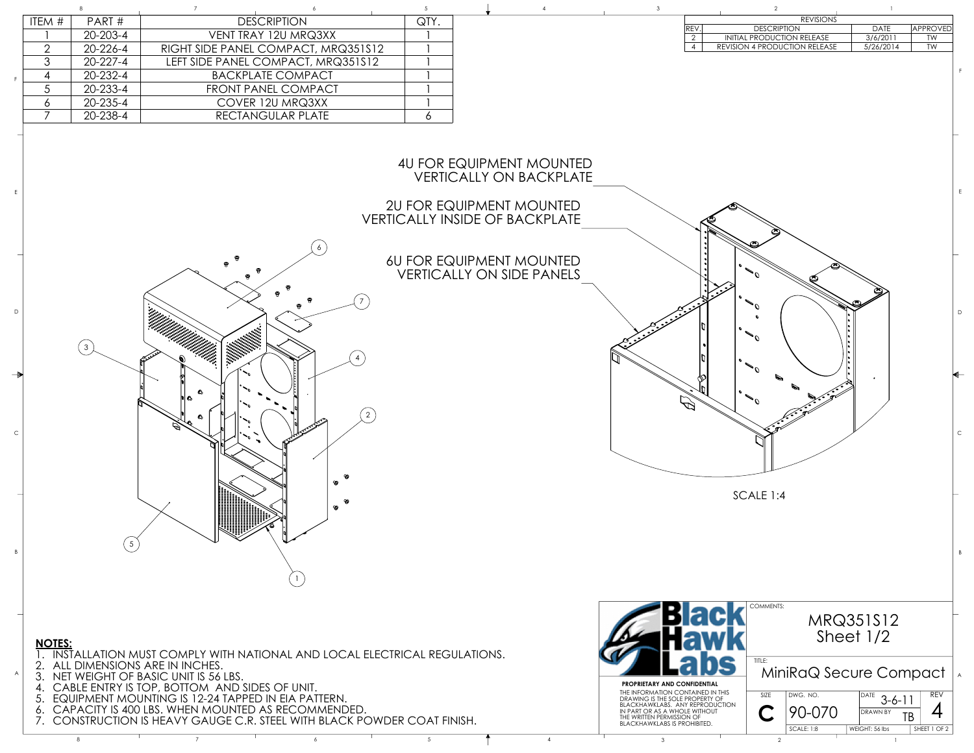

## **NOTES:**

1. INSTALLATION MUST COMPLY WITH NATIONAL AND LOCAL ELECTRICAL REGULATIONS.

- 2. ALL DIMENSIONS ARE IN INCHES.
- 3. NET WEIGHT OF BASIC UNIT IS 56 LBS.
- 4. CABLE ENTRY IS TOP, BOTTOM AND SIDES OF UNIT.
- 5. EQUIPMENT MOUNTING IS 12-24 TAPPED IN EIA PATTERN.
- 6. CAPACITY IS 400 LBS. WHEN MOUNTED AS RECOMMENDED.
- 7. CONSTRUCTION IS HEAVY GAUGE C.R. STEEL WITH BLACK POWDER COAT FINISH.



| <b>REVISIONS</b> |                                      |           |          |  |  |  |  |
|------------------|--------------------------------------|-----------|----------|--|--|--|--|
| 'RE\             | <b>DESCRIPTION</b>                   | DATE      | approved |  |  |  |  |
| ⌒                | <b>INITIAL PRODUCTION RELEASE</b>    | 3/6/2011  | TW       |  |  |  |  |
|                  | <b>REVISION 4 PRODUCTION RELEASE</b> | 5/26/2014 | TW       |  |  |  |  |
|                  |                                      |           |          |  |  |  |  |

| ITEM #  | PART#          | <b>DESCRIPTION</b>                  | QTY. |  |  |            | REVISIONS                     |             |
|---------|----------------|-------------------------------------|------|--|--|------------|-------------------------------|-------------|
|         |                |                                     |      |  |  | <b>REV</b> | <b>DESCRIPTION</b>            | <b>DATE</b> |
|         | 20-203-4       | VENT TRAY 12U MRQ3XX                |      |  |  |            | INITIAL PRODUCTION RELEASE    | 3/6/201     |
|         | $20 - 226 - 4$ | RIGHT SIDE PANEL COMPACT, MRQ351S12 |      |  |  |            | REVISION 4 PRODUCTION RELEASE | 5/26/20     |
|         | 20-227-4       | LEFT SIDE PANEL COMPACT, MRQ351S12  |      |  |  |            |                               |             |
|         | 20-232-4       | <b>BACKPLATE COMPACT</b>            |      |  |  |            |                               |             |
|         | $20 - 233 - 4$ | FRONT PANEL COMPACT                 |      |  |  |            |                               |             |
| $\circ$ | 20-235-4       | COVER 12U MRQ3XX                    |      |  |  |            |                               |             |
|         | 20-238-4       | RECTANGULAR PLATE                   |      |  |  |            |                               |             |
|         |                |                                     |      |  |  |            |                               |             |

A

B

C

D

E

F